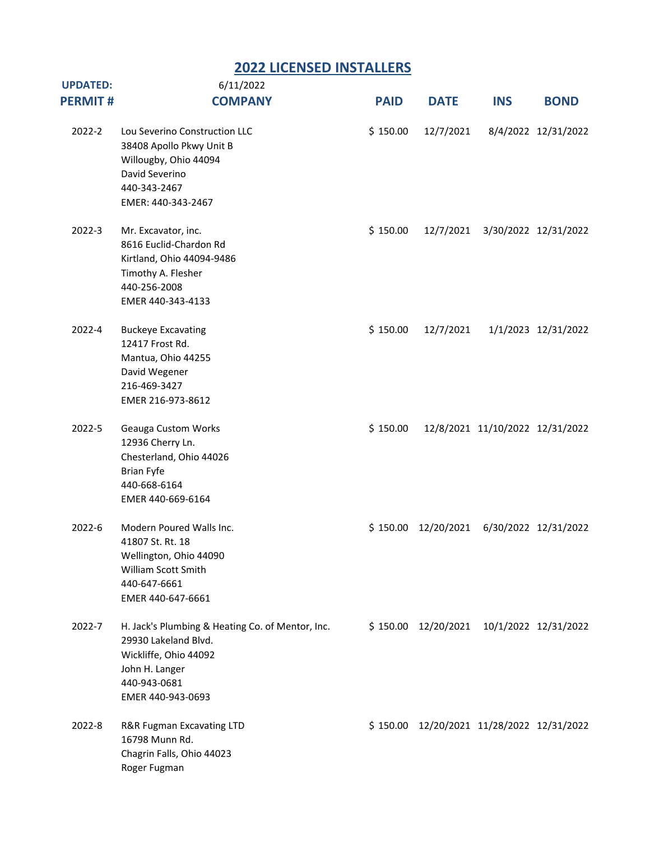## **2022 LICENSED INSTALLERS**

| <b>UPDATED:</b> | 6/11/2022                                                                                                                                                |             |                     |                                           |                      |
|-----------------|----------------------------------------------------------------------------------------------------------------------------------------------------------|-------------|---------------------|-------------------------------------------|----------------------|
| <b>PERMIT#</b>  | <b>COMPANY</b>                                                                                                                                           | <b>PAID</b> | <b>DATE</b>         | <b>INS</b>                                | <b>BOND</b>          |
| 2022-2          | Lou Severino Construction LLC<br>38408 Apollo Pkwy Unit B<br>Willougby, Ohio 44094<br>David Severino<br>440-343-2467<br>EMER: 440-343-2467               | \$150.00    | 12/7/2021           |                                           | 8/4/2022 12/31/2022  |
| 2022-3          | Mr. Excavator, inc.<br>8616 Euclid-Chardon Rd<br>Kirtland, Ohio 44094-9486<br>Timothy A. Flesher<br>440-256-2008<br>EMER 440-343-4133                    | \$150.00    | 12/7/2021           |                                           | 3/30/2022 12/31/2022 |
| 2022-4          | <b>Buckeye Excavating</b><br>12417 Frost Rd.<br>Mantua, Ohio 44255<br>David Wegener<br>216-469-3427<br>EMER 216-973-8612                                 | \$150.00    | 12/7/2021           |                                           | 1/1/2023 12/31/2022  |
| 2022-5          | <b>Geauga Custom Works</b><br>12936 Cherry Ln.<br>Chesterland, Ohio 44026<br><b>Brian Fyfe</b><br>440-668-6164<br>EMER 440-669-6164                      | \$150.00    |                     | 12/8/2021 11/10/2022 12/31/2022           |                      |
| 2022-6          | Modern Poured Walls Inc.<br>41807 St. Rt. 18<br>Wellington, Ohio 44090<br>William Scott Smith<br>440-647-6661<br>EMER 440-647-6661                       |             |                     | \$150.00 12/20/2021 6/30/2022 12/31/2022  |                      |
| 2022-7          | H. Jack's Plumbing & Heating Co. of Mentor, Inc.<br>29930 Lakeland Blvd.<br>Wickliffe, Ohio 44092<br>John H. Langer<br>440-943-0681<br>EMER 440-943-0693 |             | \$150.00 12/20/2021 |                                           | 10/1/2022 12/31/2022 |
| 2022-8          | R&R Fugman Excavating LTD<br>16798 Munn Rd.<br>Chagrin Falls, Ohio 44023<br>Roger Fugman                                                                 |             |                     | \$150.00 12/20/2021 11/28/2022 12/31/2022 |                      |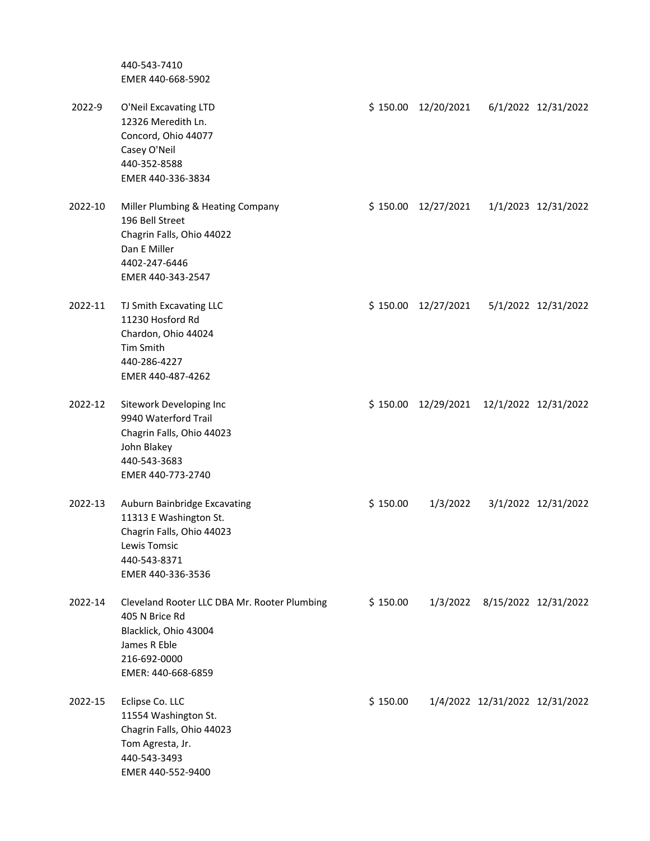440-543-7410 EMER 440-668-5902

2022-9 O'Neil Excavating LTD \$ 150.00 12/20/2021 6/1/2022 12/31/2022 12326 Meredith Ln. Concord, Ohio 44077 Casey O'Neil 440-352-8588 EMER 440-336-3834 2022-10 Miller Plumbing & Heating Company \$ 150.00 12/27/2021 1/1/2023 12/31/2022 196 Bell Street Chagrin Falls, Ohio 44022 Dan E Miller 4402-247-6446 EMER 440-343-2547 2022-11 TJ Smith Excavating LLC \$ 150.00 12/27/2021 5/1/2022 12/31/2022 11230 Hosford Rd Chardon, Ohio 44024 Tim Smith 440-286-4227 EMER 440-487-4262 2022-12 Sitework Developing Inc \$ 150.00 12/29/2021 12/1/2022 12/31/2022 9940 Waterford Trail Chagrin Falls, Ohio 44023 John Blakey 440-543-3683 EMER 440-773-2740 2022-13 Auburn Bainbridge Excavating \$ 150.00 1/3/2022 3/1/2022 12/31/2022 11313 E Washington St. Chagrin Falls, Ohio 44023 Lewis Tomsic 440-543-8371 EMER 440-336-3536 2022-14 Cleveland Rooter LLC DBA Mr. Rooter Plumbing \$ 150.00 1/3/2022 8/15/2022 12/31/2022 405 N Brice Rd Blacklick, Ohio 43004 James R Eble 216-692-0000 EMER: 440-668-6859 2022-15 Eclipse Co. LLC \$ 150.00 1/4/2022 12/31/2022 12/31/2022 11554 Washington St. Chagrin Falls, Ohio 44023 Tom Agresta, Jr. 440-543-3493 EMER 440-552-9400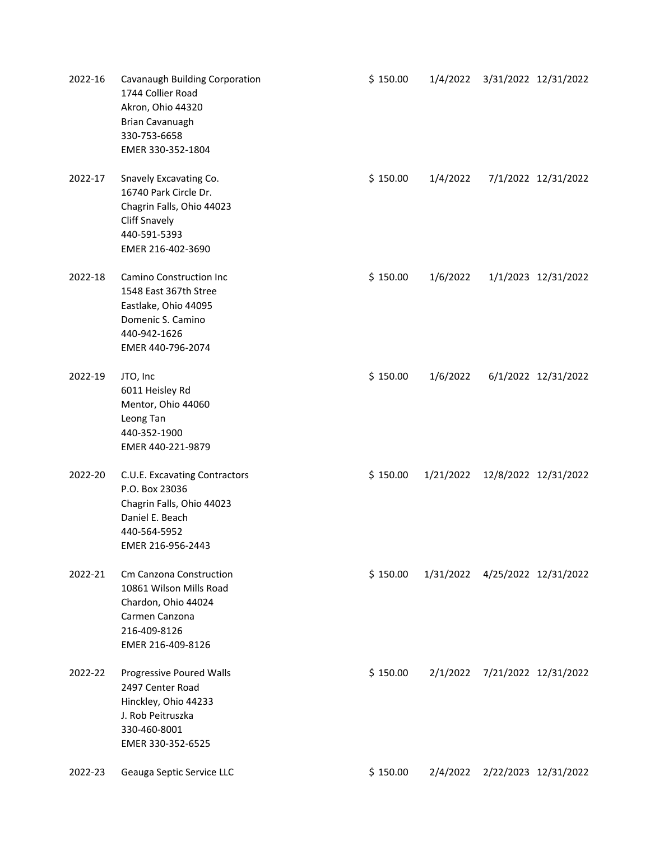| 2022-16 | Cavanaugh Building Corporation<br>1744 Collier Road<br>Akron, Ohio 44320<br><b>Brian Cavanuagh</b><br>330-753-6658<br>EMER 330-352-1804   | \$150.00 |          | 1/4/2022 3/31/2022 12/31/2022  |
|---------|-------------------------------------------------------------------------------------------------------------------------------------------|----------|----------|--------------------------------|
| 2022-17 | Snavely Excavating Co.<br>16740 Park Circle Dr.<br>Chagrin Falls, Ohio 44023<br><b>Cliff Snavely</b><br>440-591-5393<br>EMER 216-402-3690 | \$150.00 | 1/4/2022 | 7/1/2022 12/31/2022            |
| 2022-18 | Camino Construction Inc<br>1548 East 367th Stree<br>Eastlake, Ohio 44095<br>Domenic S. Camino<br>440-942-1626<br>EMER 440-796-2074        | \$150.00 | 1/6/2022 | 1/1/2023 12/31/2022            |
| 2022-19 | JTO, Inc<br>6011 Heisley Rd<br>Mentor, Ohio 44060<br>Leong Tan<br>440-352-1900<br>EMER 440-221-9879                                       | \$150.00 | 1/6/2022 | 6/1/2022 12/31/2022            |
| 2022-20 | C.U.E. Excavating Contractors<br>P.O. Box 23036<br>Chagrin Falls, Ohio 44023<br>Daniel E. Beach<br>440-564-5952<br>EMER 216-956-2443      | \$150.00 |          | 1/21/2022 12/8/2022 12/31/2022 |
| 2022-21 | Cm Canzona Construction<br>10861 Wilson Mills Road<br>Chardon, Ohio 44024<br>Carmen Canzona<br>216-409-8126<br>EMER 216-409-8126          | \$150.00 |          | 1/31/2022 4/25/2022 12/31/2022 |
| 2022-22 | <b>Progressive Poured Walls</b><br>2497 Center Road<br>Hinckley, Ohio 44233<br>J. Rob Peitruszka<br>330-460-8001<br>EMER 330-352-6525     | \$150.00 |          | 2/1/2022 7/21/2022 12/31/2022  |
| 2022-23 | Geauga Septic Service LLC                                                                                                                 | \$150.00 | 2/4/2022 | 2/22/2023 12/31/2022           |